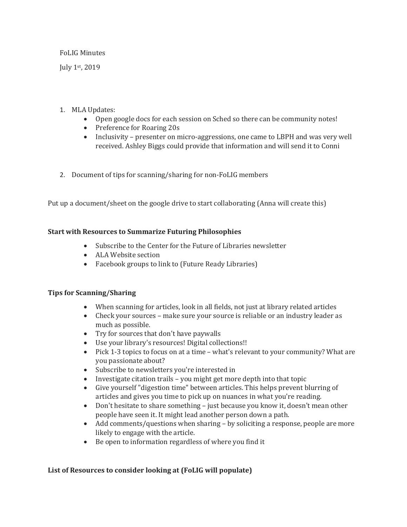### FoLIG Minutes

July 1<sup>st</sup>, 2019

# 1. MLA Updates:

- Open google docs for each session on Sched so there can be community notes!
- Preference for Roaring 20s
- Inclusivity presenter on micro-aggressions, one came to LBPH and was very well received. Ashley Biggs could provide that information and will send it to Conni
- 2. Document of tips for scanning/sharing for non-FoLIG members

Put up a document/sheet on the google drive to start collaborating (Anna will create this)

# **Start with Resources to Summarize Futuring Philosophies**

- Subscribe to the Center for the Future of Libraries newsletter
- ALA Website section
- Facebook groups to link to (Future Ready Libraries)

# **Tips for Scanning/Sharing**

- When scanning for articles, look in all fields, not just at library related articles
- Check your sources make sure your source is reliable or an industry leader as much as possible.
- Try for sources that don't have paywalls
- Use your library's resources! Digital collections!!
- Pick 1-3 topics to focus on at a time what's relevant to your community? What are you passionate about?
- Subscribe to newsletters you're interested in
- Investigate citation trails  $-$  you might get more depth into that topic
- Give yourself "digestion time" between articles. This helps prevent blurring of articles and gives you time to pick up on nuances in what you're reading.
- Don't hesitate to share something just because you know it, doesn't mean other people have seen it. It might lead another person down a path.
- Add comments/questions when sharing by soliciting a response, people are more likely to engage with the article.
- Be open to information regardless of where you find it

# List of Resources to consider looking at (FoLIG will populate)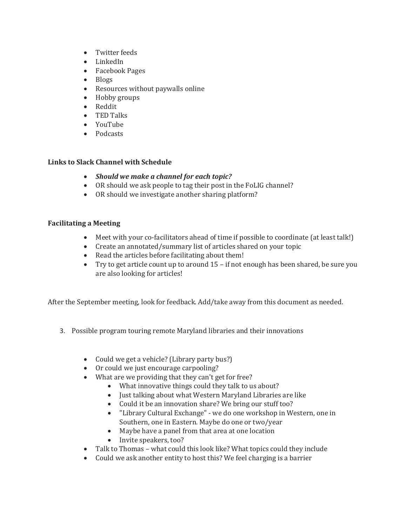- Twitter feeds
- LinkedIn
- Facebook Pages
- Blogs
- Resources without paywalls online
- Hobby groups
- Reddit
- TED Talks
- YouTube
- Podcasts

# **Links to Slack Channel with Schedule**

- *Should we make a channel for each topic?*
- OR should we ask people to tag their post in the FoLIG channel?
- OR should we investigate another sharing platform?

# **Facilitating a Meeting**

- Meet with your co-facilitators ahead of time if possible to coordinate (at least talk!)
- Create an annotated/summary list of articles shared on your topic
- Read the articles before facilitating about them!
- Try to get article count up to around  $15 if$  not enough has been shared, be sure you are also looking for articles!

After the September meeting, look for feedback. Add/take away from this document as needed.

- 3. Possible program touring remote Maryland libraries and their innovations
	- Could we get a vehicle? (Library party bus?)
	- Or could we just encourage carpooling?
	- What are we providing that they can't get for free?
		- What innovative things could they talk to us about?
		- Just talking about what Western Maryland Libraries are like
		- Could it be an innovation share? We bring our stuff too?
		- "Library Cultural Exchange" we do one workshop in Western, one in Southern, one in Eastern. Maybe do one or two/year
		- Maybe have a panel from that area at one location
		- Invite speakers, too?
	- Talk to Thomas what could this look like? What topics could they include
	- Could we ask another entity to host this? We feel charging is a barrier